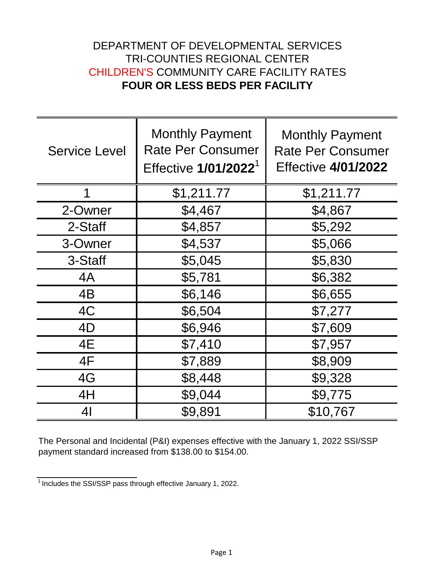## DEPARTMENT OF DEVELOPMENTAL SERVICES TRI-COUNTIES REGIONAL CENTER CHILDREN'S COMMUNITY CARE FACILITY RATES **FOUR OR LESS BEDS PER FACILITY**

| <b>Service Level</b> | <b>Monthly Payment</b><br><b>Rate Per Consumer</b><br>Effective 1/01/2022 <sup>1</sup> | <b>Monthly Payment</b><br><b>Rate Per Consumer</b><br><b>Effective 4/01/2022</b> |
|----------------------|----------------------------------------------------------------------------------------|----------------------------------------------------------------------------------|
|                      | \$1,211.77                                                                             | \$1,211.77                                                                       |
| 2-Owner              | \$4,467                                                                                | \$4,867                                                                          |
| 2-Staff              | \$4,857                                                                                | \$5,292                                                                          |
| 3-Owner              | \$4,537                                                                                | \$5,066                                                                          |
| 3-Staff              | \$5,045                                                                                | \$5,830                                                                          |
| 4A                   | \$5,781                                                                                | \$6,382                                                                          |
| 4B                   | \$6,146                                                                                | \$6,655                                                                          |
| 4C                   | \$6,504                                                                                | \$7,277                                                                          |
| 4D                   | \$6,946                                                                                | \$7,609                                                                          |
| 4E                   | \$7,410                                                                                | \$7,957                                                                          |
| 4F                   | \$7,889                                                                                | \$8,909                                                                          |
| 4G                   | \$8,448                                                                                | \$9,328                                                                          |
| 4H                   | \$9,044                                                                                | \$9,775                                                                          |
| 41                   | \$9,891                                                                                | \$10,767                                                                         |

The Personal and Incidental (P&I) expenses effective with the January 1, 2022 SSI/SSP payment standard increased from \$138.00 to \$154.00.

<sup>&</sup>lt;sup>1</sup> Includes the SSI/SSP pass through effective January 1, 2022.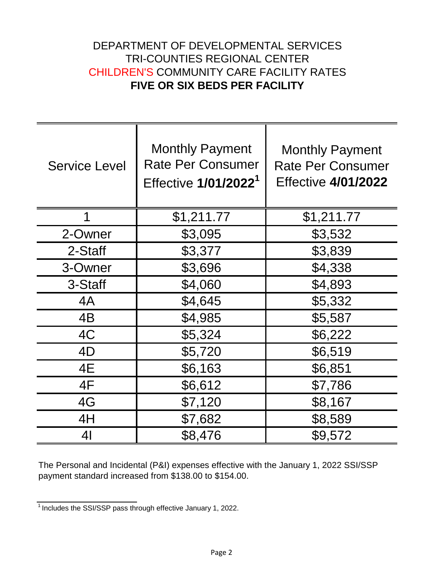## DEPARTMENT OF DEVELOPMENTAL SERVICES TRI-COUNTIES REGIONAL CENTER CHILDREN'S COMMUNITY CARE FACILITY RATES **FIVE OR SIX BEDS PER FACILITY**

| <b>Service Level</b> | <b>Monthly Payment</b><br><b>Rate Per Consumer</b><br>Effective 1/01/2022 <sup>1</sup> | <b>Monthly Payment</b><br><b>Rate Per Consumer</b><br><b>Effective 4/01/2022</b> |
|----------------------|----------------------------------------------------------------------------------------|----------------------------------------------------------------------------------|
| 1                    | \$1,211.77                                                                             | \$1,211.77                                                                       |
| 2-Owner              | \$3,095                                                                                | \$3,532                                                                          |
| 2-Staff              | \$3,377                                                                                | \$3,839                                                                          |
| 3-Owner              | \$3,696                                                                                | \$4,338                                                                          |
| 3-Staff              | \$4,060                                                                                | \$4,893                                                                          |
| 4A                   | \$4,645                                                                                | \$5,332                                                                          |
| 4B                   | \$4,985                                                                                | \$5,587                                                                          |
| 4C                   | \$5,324                                                                                | \$6,222                                                                          |
| 4D                   | \$5,720                                                                                | \$6,519                                                                          |
| 4E                   | \$6,163                                                                                | \$6,851                                                                          |
| 4F                   | \$6,612                                                                                | \$7,786                                                                          |
| 4G                   | \$7,120                                                                                | \$8,167                                                                          |
| 4H                   | \$7,682                                                                                | \$8,589                                                                          |
| 4 <sub>l</sub>       | \$8,476                                                                                | \$9,572                                                                          |

The Personal and Incidental (P&I) expenses effective with the January 1, 2022 SSI/SSP payment standard increased from \$138.00 to \$154.00.

<sup>1</sup>Includes the SSI/SSP pass through effective January 1, 2022.